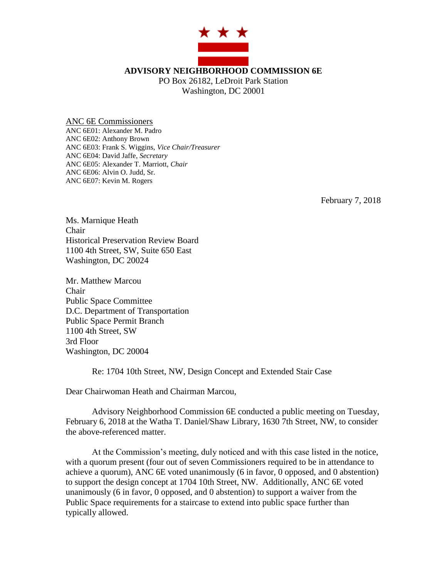

ANC 6E Commissioners ANC 6E01: Alexander M. Padro ANC 6E02: Anthony Brown ANC 6E03: Frank S. Wiggins, *Vice Chair/Treasurer* ANC 6E04: David Jaffe, *Secretary* ANC 6E05: Alexander T. Marriott, *Chair* ANC 6E06: Alvin O. Judd, Sr. ANC 6E07: Kevin M. Rogers

February 7, 2018

Ms. Marnique Heath Chair Historical Preservation Review Board 1100 4th Street, SW, Suite 650 East Washington, DC 20024

Mr. Matthew Marcou Chair Public Space Committee D.C. Department of Transportation Public Space Permit Branch 1100 4th Street, SW 3rd Floor Washington, DC 20004

Re: 1704 10th Street, NW, Design Concept and Extended Stair Case

Dear Chairwoman Heath and Chairman Marcou,

Advisory Neighborhood Commission 6E conducted a public meeting on Tuesday, February 6, 2018 at the Watha T. Daniel/Shaw Library, 1630 7th Street, NW, to consider the above-referenced matter.

At the Commission's meeting, duly noticed and with this case listed in the notice, with a quorum present (four out of seven Commissioners required to be in attendance to achieve a quorum), ANC 6E voted unanimously (6 in favor, 0 opposed, and 0 abstention) to support the design concept at 1704 10th Street, NW. Additionally, ANC 6E voted unanimously (6 in favor, 0 opposed, and 0 abstention) to support a waiver from the Public Space requirements for a staircase to extend into public space further than typically allowed.